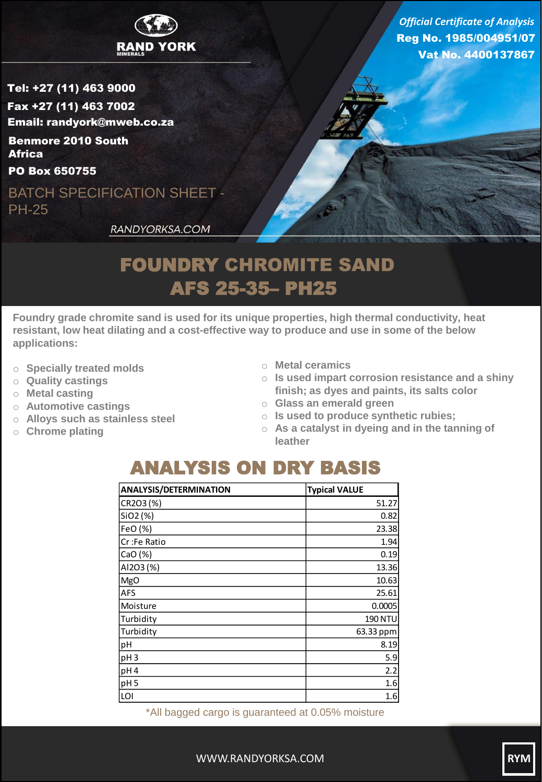

Reg No. 1985/004951/07 Vat No. 4400137867 *Official Certificate of Analysis*

Tel: +27 (11) 463 9000 Fax +27 (11) 463 7002 Email: randyork@mweb.co.za Benmore 2010 South **Africa** 

PO Box 650755

BATCH SPECIFICATION SHEET - PH-25

RANDYORKSA.COM

## FOUNDRY CHROMITE SAND AFS 25-35– PH25

**Foundry grade chromite sand is used for its unique properties, high thermal conductivity, heat resistant, low heat dilating and a cost-effective way to produce and use in some of the below applications:**

- o **Specially treated molds**
- o **Quality castings**
- o **Metal casting**
- o **Automotive castings**
- o **Alloys such as stainless steel**
- o **Chrome plating**
- o **Metal ceramics**
- o **Is used impart corrosion resistance and a shiny finish; as dyes and paints, its salts color**
- o **Glass an emerald green**
- o **Is used to produce synthetic rubies;**
- o **As a catalyst in dyeing and in the tanning of leather**

## ANALYSIS ON DRY BASIS

| <b>ANALYSIS/DETERMINATION</b> | <b>Typical VALUE</b> |
|-------------------------------|----------------------|
| CR2O3(%)                      | 51.27                |
| SiO2 (%)                      | 0.82                 |
| FeO (%)                       | 23.38                |
| Cr:Fe Ratio                   | 1.94                 |
| CaO (%)                       | 0.19                 |
| AI2O3 (%)                     | 13.36                |
| MgO                           | 10.63                |
| <b>AFS</b>                    | 25.61                |
| Moisture                      | 0.0005               |
| Turbidity                     | <b>190 NTU</b>       |
| Turbidity                     | 63.33 ppm            |
| pH                            | 8.19                 |
| pH <sub>3</sub>               | 5.9                  |
| pH <sub>4</sub>               | 2.2                  |
| pH <sub>5</sub>               | 1.6                  |
| LOI                           | 1.6                  |

\*All bagged cargo is guaranteed at 0.05% moisture